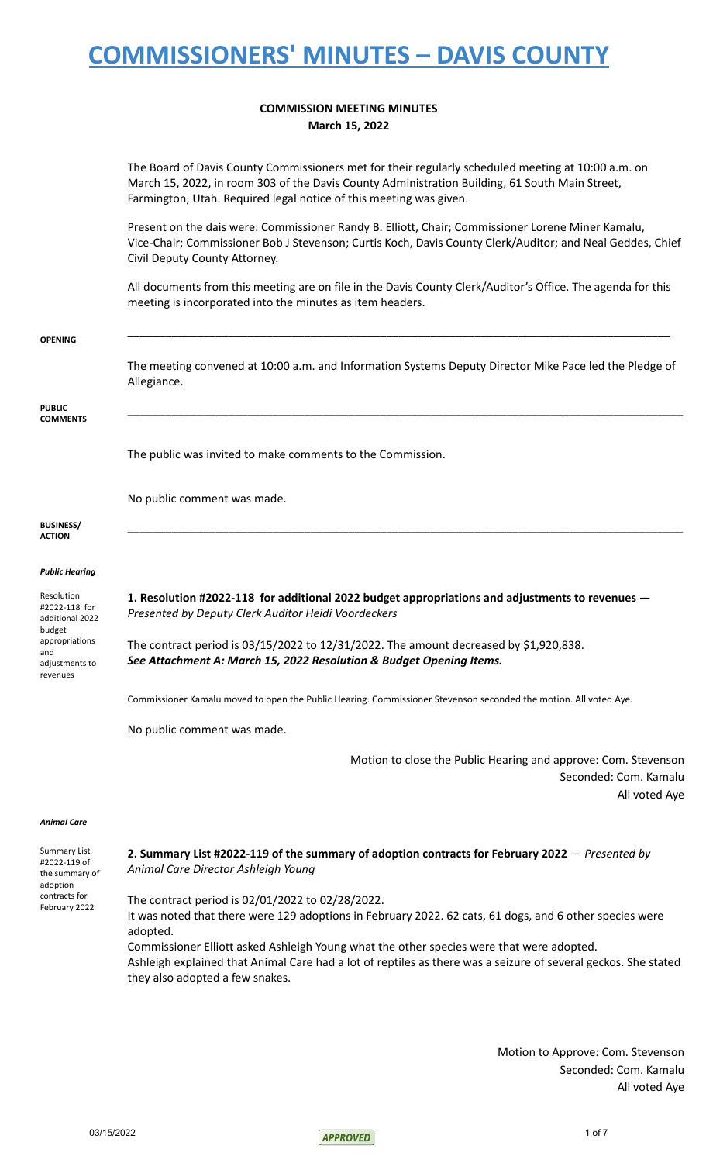#### **COMMISSION MEETING MINUTES March 15, 2022**

The Board of Davis County Commissioners met for their regularly scheduled meeting at 10:00 a.m. on March 15, 2022, in room 303 of the Davis County Administration Building, 61 South Main Street, Farmington, Utah. Required legal notice of this meeting was given.

Present on the dais were: Commissioner Randy B. Elliott, Chair; Commissioner Lorene Miner Kamalu, Vice-Chair; Commissioner Bob J Stevenson; Curtis Koch, Davis County Clerk/Auditor; and Neal Geddes, Chief Civil Deputy County Attorney.

All documents from this meeting are on file in the Davis County Clerk/Auditor's Office. The agenda for this meeting is incorporated into the minutes as item headers.

| The meeting convened at 10:00 a.m. and Information Systems Deputy Director Mike Pace led the Pledge of<br>Allegiance.                                             |
|-------------------------------------------------------------------------------------------------------------------------------------------------------------------|
|                                                                                                                                                                   |
| The public was invited to make comments to the Commission.                                                                                                        |
| No public comment was made.                                                                                                                                       |
|                                                                                                                                                                   |
|                                                                                                                                                                   |
|                                                                                                                                                                   |
| 1. Resolution #2022-118 for additional 2022 budget appropriations and adjustments to revenues -<br>Presented by Deputy Clerk Auditor Heidi Voordeckers            |
| The contract period is $03/15/2022$ to $12/31/2022$ . The amount decreased by \$1,920,838.<br>See Attachment A: March 15, 2022 Resolution & Budget Opening Items. |
| Commissioner Kamalu moved to open the Public Hearing. Commissioner Stevenson seconded the motion. All voted Aye.                                                  |
| No public comment was made.                                                                                                                                       |
| Motion to close the Public Hearing and approve: Com. Stevenson                                                                                                    |
| Seconded: Com. Kamalu<br>All voted Aye                                                                                                                            |
|                                                                                                                                                                   |
| 2. Summary List #2022-119 of the summary of adoption contracts for February 2022 $-$ Presented by<br>Animal Care Director Ashleigh Young                          |
| The contract period is 02/01/2022 to 02/28/2022.                                                                                                                  |
| It was noted that there were 129 adoptions in February 2022. 62 cats, 61 dogs, and 6 other species were<br>adopted.                                               |
| Commissioner Elliott asked Ashleigh Young what the other species were that were adopted.                                                                          |
|                                                                                                                                                                   |

Ashleigh explained that Animal Care had a lot of reptiles as there was a seizure of several geckos. She stated they also adopted a few snakes.

> Motion to Approve: Com. Stevenson Seconded: Com. Kamalu All voted Aye

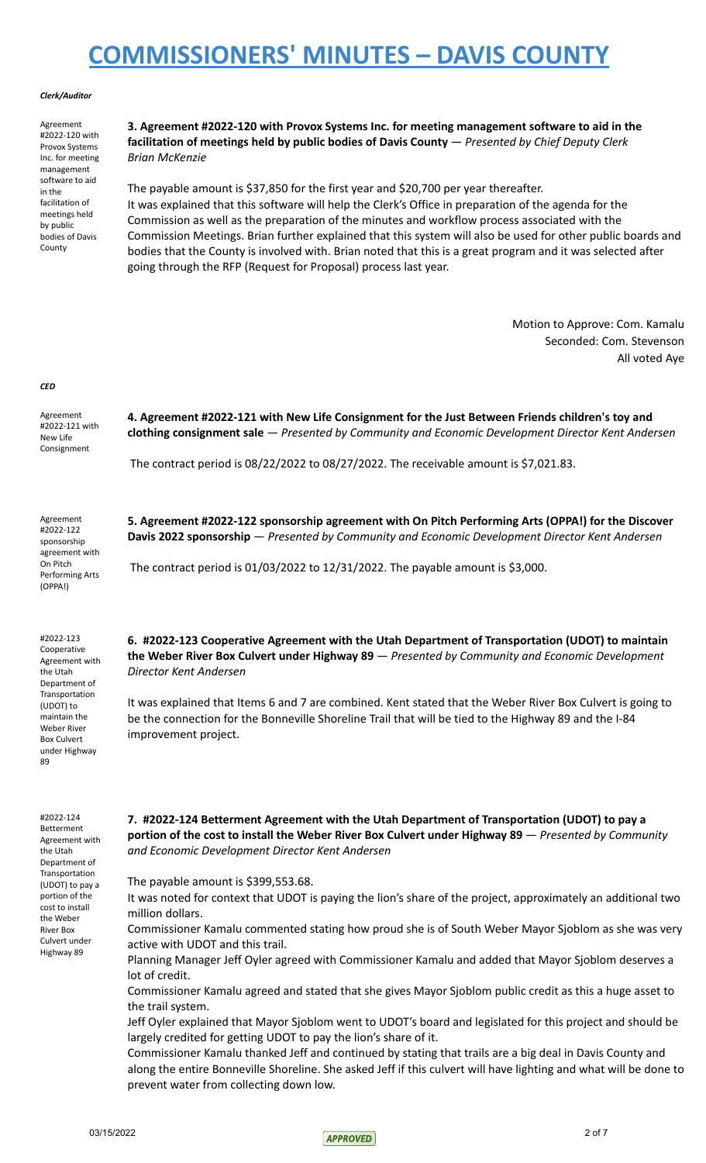#### *Clerk/Auditor*

Agreement #2022-120 with Provox Systems Inc. for meeting management software to aid in the facilitation of meetings held by public bodies of Davis County

**3. Agreement #2022-120 with Provox Systems Inc. for meeting management software to aid in the facilitation of meetings held by public bodies of Davis County** — *Presented by Chief Deputy Clerk Brian McKenzie*

The payable amount is \$37,850 for the first year and \$20,700 per year thereafter. It was explained that this software will help the Clerk's Office in preparation of the agenda for the Commission as well as the preparation of the minutes and workflow process associated with the Commission Meetings. Brian further explained that this system will also be used for other public boards and bodies that the County is involved with. Brian noted that this is a great program and it was selected after going through the RFP (Request for Proposal) process last year.

> Motion to Approve: Com. Kamalu Seconded: Com. Stevenson All voted Aye

*CED*

Agreement #2022-121 with New Life Consignment **4. Agreement #2022-121 with New Life Consignment for the Just Between Friends children's toy and clothing consignment sale** — *Presented by Community and Economic Development Director Kent Andersen* The contract period is 08/22/2022 to 08/27/2022. The receivable amount is \$7,021.83. Agreement #2022-122 sponsorship agreement with On Pitch Performing Arts (OPPA!) **5. Agreement #2022-122 sponsorship agreement with On Pitch Performing Arts (OPPA!) for the Discover Davis 2022 sponsorship** — *Presented by Community and Economic Development Director Kent Andersen* The contract period is 01/03/2022 to 12/31/2022. The payable amount is \$3,000. #2022-123 Cooperative Agreement with the Utah Department of Transportation (UDOT) to maintain the Weber River Box Culvert under Highway 89 **6. #2022-123 Cooperative Agreement with the Utah Department of Transportation (UDOT) to maintain the Weber River Box Culvert under Highway 89** — *Presented by Community and Economic Development Director Kent Andersen* It was explained that Items 6 and 7 are combined. Kent stated that the Weber River Box Culvert is going to be the connection for the Bonneville Shoreline Trail that will be tied to the Highway 89 and the I-84 improvement project. #2022-124 Betterment Agreement with the Utah Department of **Transportation** (UDOT) to pay a portion of the cost to install the Weber River Box Culvert under Highway 89 **7. #2022-124 Betterment Agreement with the Utah Department of Transportation (UDOT) to pay a portion of the cost to install the Weber River Box Culvert under Highway 89** — *Presented by Community and Economic Development Director Kent Andersen* The payable amount is \$399,553.68. It was noted for context that UDOT is paying the lion's share of the project, approximately an additional two million dollars. Commissioner Kamalu commented stating how proud she is of South Weber Mayor Sjoblom as she was very active with UDOT and this trail.

Planning Manager Jeff Oyler agreed with Commissioner Kamalu and added that Mayor Sjoblom deserves a lot of credit.

Commissioner Kamalu agreed and stated that she gives Mayor Sjoblom public credit as this a huge asset to the trail system.

Jeff Oyler explained that Mayor Sjoblom went to UDOT's board and legislated for this project and should be largely credited for getting UDOT to pay the lion's share of it.

Commissioner Kamalu thanked Jeff and continued by stating that trails are a big deal in Davis County and along the entire Bonneville Shoreline. She asked Jeff if this culvert will have lighting and what will be done to prevent water from collecting down low.

 $03/15/2022$  2 of 7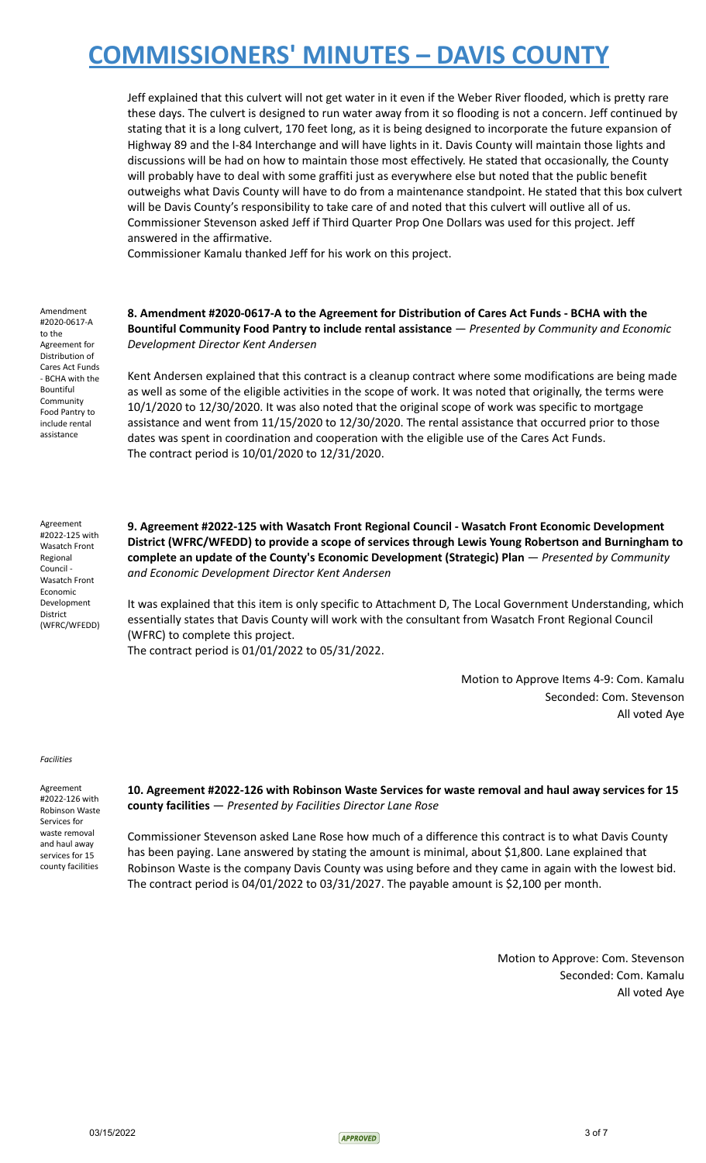Jeff explained that this culvert will not get water in it even if the Weber River flooded, which is pretty rare these days. The culvert is designed to run water away from it so flooding is not a concern. Jeff continued by stating that it is a long culvert, 170 feet long, as it is being designed to incorporate the future expansion of Highway 89 and the I-84 Interchange and will have lights in it. Davis County will maintain those lights and discussions will be had on how to maintain those most effectively. He stated that occasionally, the County will probably have to deal with some graffiti just as everywhere else but noted that the public benefit outweighs what Davis County will have to do from a maintenance standpoint. He stated that this box culvert will be Davis County's responsibility to take care of and noted that this culvert will outlive all of us. Commissioner Stevenson asked Jeff if Third Quarter Prop One Dollars was used for this project. Jeff answered in the affirmative.

Commissioner Kamalu thanked Jeff for his work on this project.

Amendment #2020-0617-A to the Agreement for Distribution of Cares Act Funds - BCHA with the Bountiful Community Food Pantry to include rental assistance

**8. Amendment #2020-0617-A to the Agreement for Distribution of Cares Act Funds - BCHA with the Bountiful Community Food Pantry to include rental assistance** — *Presented by Community and Economic Development Director Kent Andersen*

Kent Andersen explained that this contract is a cleanup contract where some modifications are being made as well as some of the eligible activities in the scope of work. It was noted that originally, the terms were 10/1/2020 to 12/30/2020. It was also noted that the original scope of work was specific to mortgage assistance and went from 11/15/2020 to 12/30/2020. The rental assistance that occurred prior to those dates was spent in coordination and cooperation with the eligible use of the Cares Act Funds. The contract period is 10/01/2020 to 12/31/2020.

Agreement #2022-125 with Wasatch Front Regional Council - Wasatch Front Economic Development District (WFRC/WFEDD) **9. Agreement #2022-125 with Wasatch Front Regional Council - Wasatch Front Economic Development District (WFRC/WFEDD) to provide a scope of services through Lewis Young Robertson and Burningham to complete an update of the County's Economic Development (Strategic) Plan** — *Presented by Community and Economic Development Director Kent Andersen*

It was explained that this item is only specific to Attachment D, The Local Government Understanding, which essentially states that Davis County will work with the consultant from Wasatch Front Regional Council (WFRC) to complete this project. The contract period is 01/01/2022 to 05/31/2022.

> Motion to Approve Items 4-9: Com. Kamalu Seconded: Com. Stevenson All voted Aye

#### *Facilities*

Agreement #2022-126 with Robinson Waste Services for waste removal and haul away services for 15 county facilities

**10. Agreement #2022-126 with Robinson Waste Services for waste removal and haul away services for 15 county facilities** — *Presented by Facilities Director Lane Rose*

Commissioner Stevenson asked Lane Rose how much of a difference this contract is to what Davis County has been paying. Lane answered by stating the amount is minimal, about \$1,800. Lane explained that Robinson Waste is the company Davis County was using before and they came in again with the lowest bid. The contract period is  $04/01/2022$  to  $03/31/2027$ . The payable amount is \$2,100 per month.

> Motion to Approve: Com. Stevenson Seconded: Com. Kamalu All voted Aye

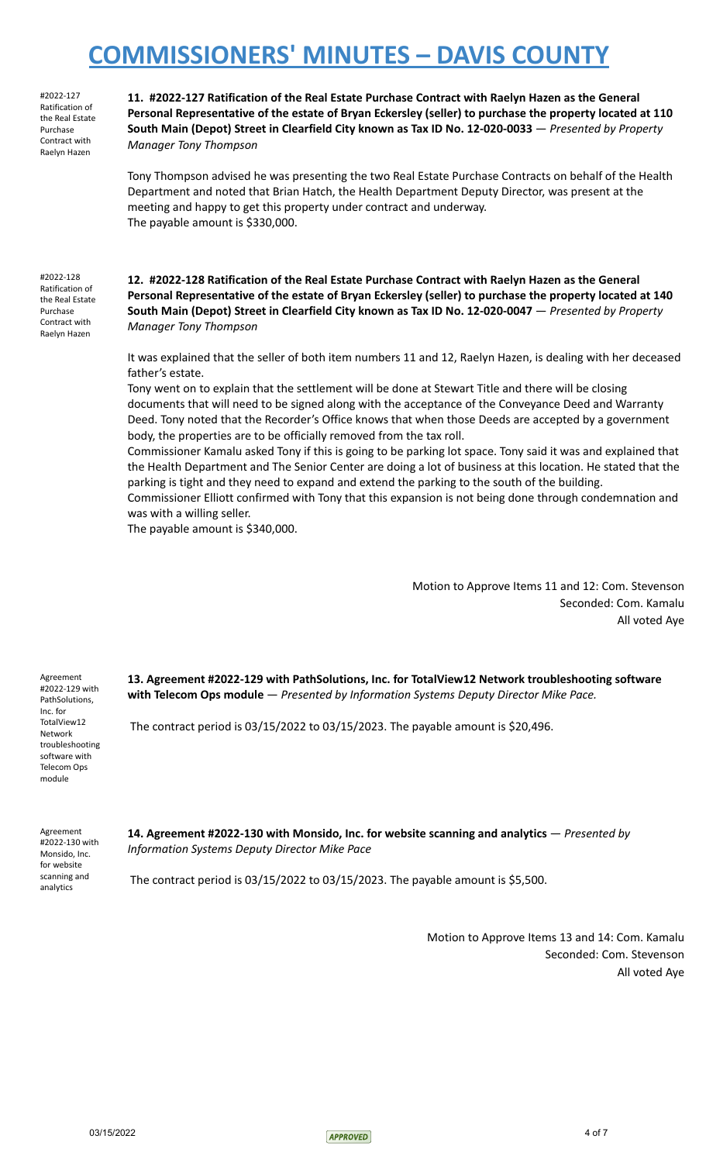#2022-127 Ratification of the Real Estate Purchase Contract with Raelyn Hazen

**11. #2022-127 Ratification of the Real Estate Purchase Contract with Raelyn Hazen as the General Personal Representative of the estate of Bryan Eckersley (seller) to purchase the property located at 110 South Main (Depot) Street in Clearfield City known as Tax ID No. 12-020-0033** — *Presented by Property Manager Tony Thompson*

Tony Thompson advised he was presenting the two Real Estate Purchase Contracts on behalf of the Health Department and noted that Brian Hatch, the Health Department Deputy Director, was present at the meeting and happy to get this property under contract and underway. The payable amount is \$330,000.

#2022-128 Ratification of the Real Estate Purchase Contract with Raelyn Hazen

**12. #2022-128 Ratification of the Real Estate Purchase Contract with Raelyn Hazen as the General Personal Representative of the estate of Bryan Eckersley (seller) to purchase the property located at 140 South Main (Depot) Street in Clearfield City known as Tax ID No. 12-020-0047** — *Presented by Property Manager Tony Thompson*

It was explained that the seller of both item numbers 11 and 12, Raelyn Hazen, is dealing with her deceased father's estate.

Tony went on to explain that the settlement will be done at Stewart Title and there will be closing documents that will need to be signed along with the acceptance of the Conveyance Deed and Warranty Deed. Tony noted that the Recorder's Office knows that when those Deeds are accepted by a government body, the properties are to be officially removed from the tax roll.

Commissioner Kamalu asked Tony if this is going to be parking lot space. Tony said it was and explained that the Health Department and The Senior Center are doing a lot of business at this location. He stated that the parking is tight and they need to expand and extend the parking to the south of the building.

Commissioner Elliott confirmed with Tony that this expansion is not being done through condemnation and was with a willing seller.

The payable amount is \$340,000.

Motion to Approve Items 11 and 12: Com. Stevenson Seconded: Com. Kamalu All voted Aye

Agreement #2022-129 with PathSolutions, Inc. for TotalView12 Network troubleshooting software with Telecom Ops module

**13. Agreement #2022-129 with PathSolutions, Inc. for TotalView12 Network troubleshooting software with Telecom Ops module** — *Presented by Information Systems Deputy Director Mike Pace.*

The contract period is 03/15/2022 to 03/15/2023. The payable amount is \$20,496.

Agreement #2022-130 with Monsido, Inc. for website scanning and analytics

**14. Agreement #2022-130 with Monsido, Inc. for website scanning and analytics** — *Presented by Information Systems Deputy Director Mike Pace*

The contract period is 03/15/2022 to 03/15/2023. The payable amount is \$5,500.

Motion to Approve Items 13 and 14: Com. Kamalu Seconded: Com. Stevenson All voted Aye

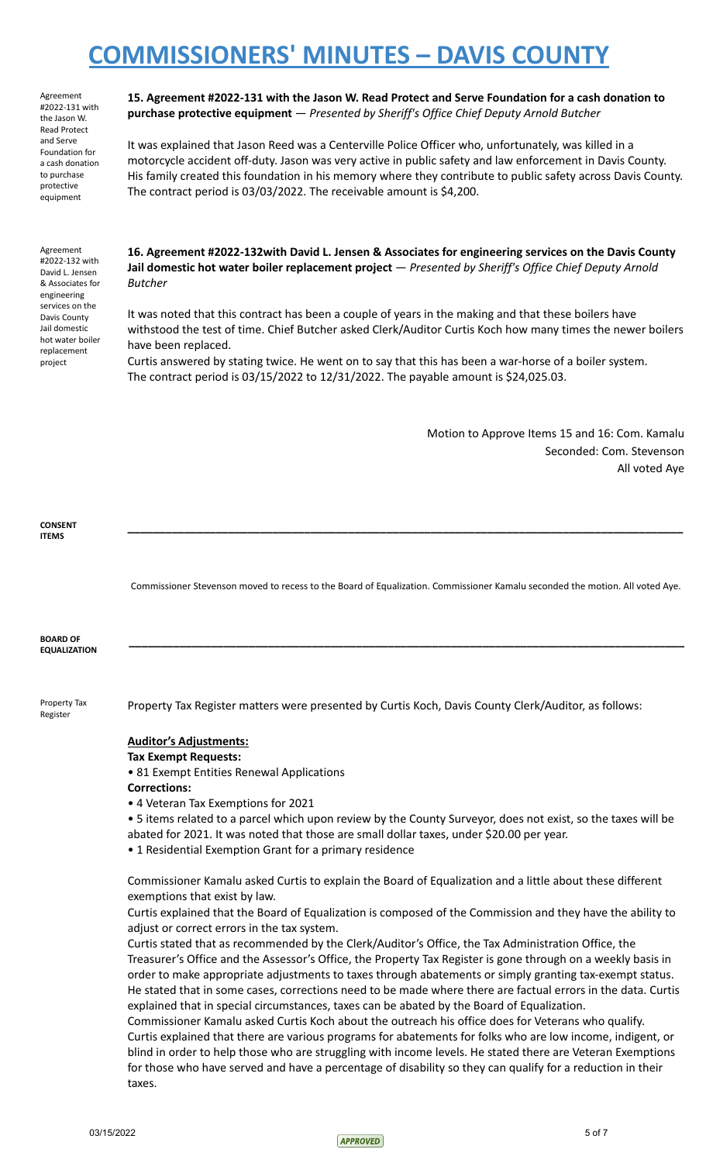Agreement #2022-131 with the Jason W. Read Protect and Serve Foundation for a cash donation to purchase protective equipment

Agreement #2022-132 with David L. Jensen & Associates for engineering services on the Davis County Jail domestic hot water boiler replacement project

**15. Agreement #2022-131 with the Jason W. Read Protect and Serve Foundation for a cash donation to purchase protective equipment** — *Presented by Sheriff's Office Chief Deputy Arnold Butcher*

It was explained that Jason Reed was a Centerville Police Officer who, unfortunately, was killed in a motorcycle accident off-duty. Jason was very active in public safety and law enforcement in Davis County. His family created this foundation in his memory where they contribute to public safety across Davis County. The contract period is 03/03/2022. The receivable amount is \$4,200.

**16. Agreement #2022-132with David L. Jensen & Associates for engineering services on the Davis County Jail domestic hot water boiler replacement project** — *Presented by Sheriff's Office Chief Deputy Arnold Butcher*

It was noted that this contract has been a couple of years in the making and that these boilers have withstood the test of time. Chief Butcher asked Clerk/Auditor Curtis Koch how many times the newer boilers have been replaced.

Curtis answered by stating twice. He went on to say that this has been a war-horse of a boiler system. The contract period is 03/15/2022 to 12/31/2022. The payable amount is \$24,025.03.

> Motion to Approve Items 15 and 16: Com. Kamalu Seconded: Com. Stevenson All voted Aye

**CONSENT ITEMS**

Commissioner Stevenson moved to recess to the Board of Equalization. Commissioner Kamalu seconded the motion. All voted Aye.

**\_\_\_\_\_\_\_\_\_\_\_\_\_\_\_\_\_\_\_\_\_\_\_\_\_\_\_\_\_\_\_\_\_\_\_\_\_\_\_\_\_\_\_\_\_\_\_\_\_\_\_\_\_\_\_\_\_\_\_\_\_\_\_\_\_\_\_\_\_\_\_\_\_\_\_\_\_\_\_\_\_\_\_\_\_\_\_\_**

**\_\_\_\_\_\_\_\_\_\_\_\_\_\_\_\_\_\_\_\_\_\_\_\_\_\_\_\_\_\_\_\_\_\_\_\_\_\_\_\_\_\_\_\_\_\_\_\_\_\_\_\_\_\_\_\_\_\_\_\_\_\_\_\_\_\_\_\_\_\_\_\_\_\_\_\_\_\_\_\_\_\_\_\_\_\_\_\_**

**BOARD OF EQUALIZATION**

Property Tax Register

Property Tax Register matters were presented by Curtis Koch, Davis County Clerk/Auditor, as follows:

#### **Auditor's Adjustments:**

**Tax Exempt Requests:**

• 81 Exempt Entities Renewal Applications

**Corrections:**

• 4 Veteran Tax Exemptions for 2021

• 5 items related to a parcel which upon review by the County Surveyor, does not exist, so the taxes will be abated for 2021. It was noted that those are small dollar taxes, under \$20.00 per year.

• 1 Residential Exemption Grant for a primary residence

Commissioner Kamalu asked Curtis to explain the Board of Equalization and a little about these different exemptions that exist by law.

Curtis explained that the Board of Equalization is composed of the Commission and they have the ability to adjust or correct errors in the tax system.

Curtis stated that as recommended by the Clerk/Auditor's Office, the Tax Administration Office, the Treasurer's Office and the Assessor's Office, the Property Tax Register is gone through on a weekly basis in order to make appropriate adjustments to taxes through abatements or simply granting tax-exempt status. He stated that in some cases, corrections need to be made where there are factual errors in the data. Curtis explained that in special circumstances, taxes can be abated by the Board of Equalization.

Commissioner Kamalu asked Curtis Koch about the outreach his office does for Veterans who qualify. Curtis explained that there are various programs for abatements for folks who are low income, indigent, or blind in order to help those who are struggling with income levels. He stated there are Veteran Exemptions for those who have served and have a percentage of disability so they can qualify for a reduction in their taxes.

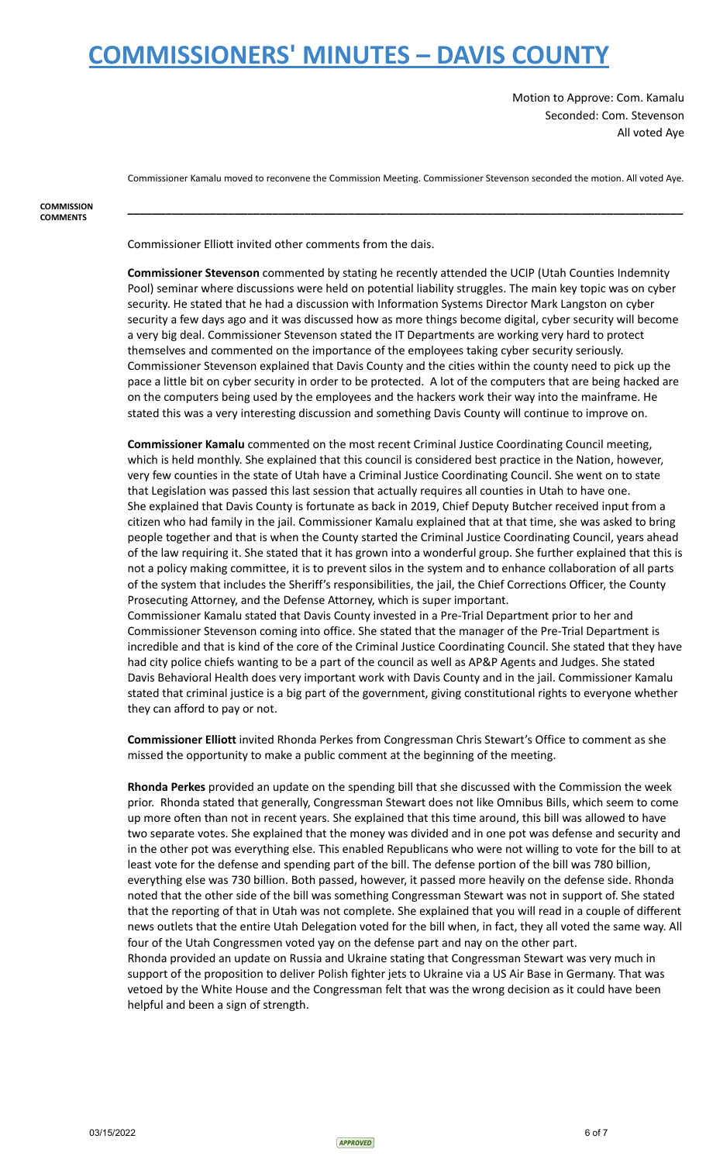Motion to Approve: Com. Kamalu Seconded: Com. Stevenson All voted Aye

Commissioner Kamalu moved to reconvene the Commission Meeting. Commissioner Stevenson seconded the motion. All voted Aye.

**\_\_\_\_\_\_\_\_\_\_\_\_\_\_\_\_\_\_\_\_\_\_\_\_\_\_\_\_\_\_\_\_\_\_\_\_\_\_\_\_\_\_\_\_\_\_\_\_\_\_\_\_\_\_\_\_\_\_\_\_\_\_\_\_\_\_\_\_\_\_\_\_\_\_\_\_\_\_\_\_\_\_\_\_\_\_\_\_**

**COMMISSION COMMENTS**

Commissioner Elliott invited other comments from the dais.

**Commissioner Stevenson** commented by stating he recently attended the UCIP (Utah Counties Indemnity Pool) seminar where discussions were held on potential liability struggles. The main key topic was on cyber security. He stated that he had a discussion with Information Systems Director Mark Langston on cyber security a few days ago and it was discussed how as more things become digital, cyber security will become a very big deal. Commissioner Stevenson stated the IT Departments are working very hard to protect themselves and commented on the importance of the employees taking cyber security seriously. Commissioner Stevenson explained that Davis County and the cities within the county need to pick up the pace a little bit on cyber security in order to be protected. A lot of the computers that are being hacked are on the computers being used by the employees and the hackers work their way into the mainframe. He stated this was a very interesting discussion and something Davis County will continue to improve on.

**Commissioner Kamalu** commented on the most recent Criminal Justice Coordinating Council meeting, which is held monthly. She explained that this council is considered best practice in the Nation, however, very few counties in the state of Utah have a Criminal Justice Coordinating Council. She went on to state that Legislation was passed this last session that actually requires all counties in Utah to have one. She explained that Davis County is fortunate as back in 2019, Chief Deputy Butcher received input from a citizen who had family in the jail. Commissioner Kamalu explained that at that time, she was asked to bring people together and that is when the County started the Criminal Justice Coordinating Council, years ahead of the law requiring it. She stated that it has grown into a wonderful group. She further explained that this is not a policy making committee, it is to prevent silos in the system and to enhance collaboration of all parts of the system that includes the Sheriff's responsibilities, the jail, the Chief Corrections Officer, the County Prosecuting Attorney, and the Defense Attorney, which is super important. Commissioner Kamalu stated that Davis County invested in a Pre-Trial Department prior to her and Commissioner Stevenson coming into office. She stated that the manager of the Pre-Trial Department is

incredible and that is kind of the core of the Criminal Justice Coordinating Council. She stated that they have had city police chiefs wanting to be a part of the council as well as AP&P Agents and Judges. She stated Davis Behavioral Health does very important work with Davis County and in the jail. Commissioner Kamalu stated that criminal justice is a big part of the government, giving constitutional rights to everyone whether they can afford to pay or not.

**Commissioner Elliott** invited Rhonda Perkes from Congressman Chris Stewart's Office to comment as she missed the opportunity to make a public comment at the beginning of the meeting.

**Rhonda Perkes** provided an update on the spending bill that she discussed with the Commission the week prior. Rhonda stated that generally, Congressman Stewart does not like Omnibus Bills, which seem to come up more often than not in recent years. She explained that this time around, this bill was allowed to have two separate votes. She explained that the money was divided and in one pot was defense and security and in the other pot was everything else. This enabled Republicans who were not willing to vote for the bill to at least vote for the defense and spending part of the bill. The defense portion of the bill was 780 billion, everything else was 730 billion. Both passed, however, it passed more heavily on the defense side. Rhonda noted that the other side of the bill was something Congressman Stewart was not in support of. She stated that the reporting of that in Utah was not complete. She explained that you will read in a couple of different news outlets that the entire Utah Delegation voted for the bill when, in fact, they all voted the same way. All four of the Utah Congressmen voted yay on the defense part and nay on the other part. Rhonda provided an update on Russia and Ukraine stating that Congressman Stewart was very much in support of the proposition to deliver Polish fighter jets to Ukraine via a US Air Base in Germany. That was vetoed by the White House and the Congressman felt that was the wrong decision as it could have been helpful and been a sign of strength.